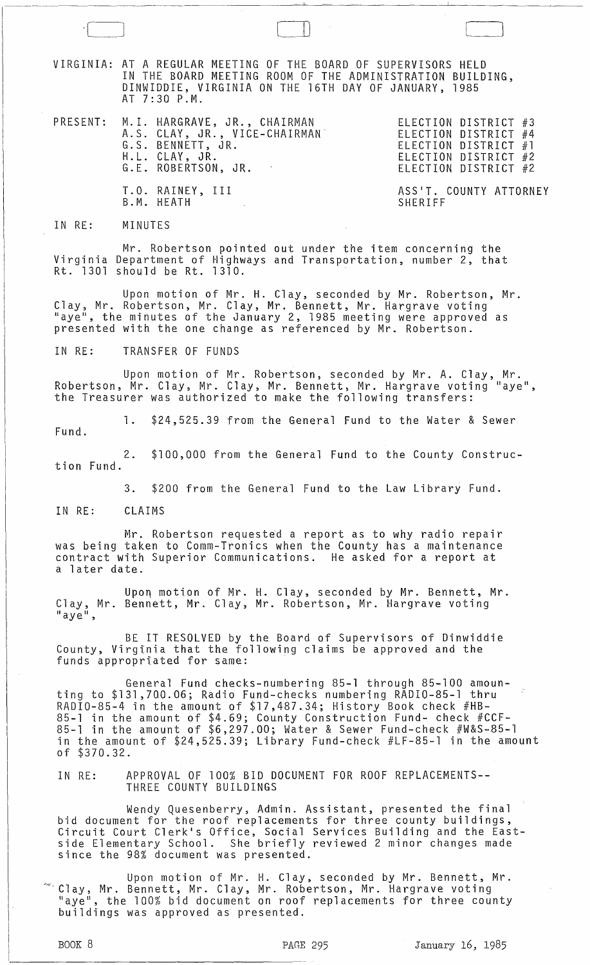VIRGINIA: AT A REGULAR MEETING OF THE BOARD DF SUPERVISORS HELD IN THE BOARD MEETING ROOM OF THE ADMINISTRATION BUILDING, DINWIDDIE, VIRGINIA ON THE 16TH DAY OF JANUARY, 1985 AT 7:30 P.M.

 $\boxed{\phantom{1}}$ 

- PRESENT: M. I. HARGRAVE, JR., CHAIRMAN A. S. CLAY, JR., VICE-CHAIRMAN· G.S. BENNETT, JR. H.L. CLAY, JR. G.L ROBERTSON, JR. T.O. RAINEY, III
- ELECTION DISTRICT #3 ELECTION DISTRICT #4 ELECTION DISTRICT #1 ELECTION DISTRICT #2 ELECTION DISTRICT #2

ASS'T. COUNTY ATTORNEY SHERIFF

### IN RE: MINUTES

Mr. Robertson pointed out under the item concerning the Virginia Department of Highways and Transportation, number 2, that Rt. 1301 should be Rt. 1310.

Upon motion of Mr. H. Clay, seconded by Mr. Robertson, Mr. Clay, Mr. Robertson, Mr. Clay, Mr. Bennett, Mr. Hargrave voting "aye", the minutes of the January 2, 1985 meeting were approved as presented with the one change as referenced by Mr. Robertson.

### IN RE: TRANSFER OF FUNDS

B.M. HEATH

Upon motion of Mr. Robertson, seconded by Mr. A. Clay, Mr. Robertson, Mr. Clay, Mr. Clay, Mr. Bennett, Mr. Hargrave voting "aye", the Treasurer was authorized to make the following transfers:

1. \$24,525.39 from the General Fund to the Water & Sewer Fund.

2. \$100,000 from the General Fund to the County Construction Fund.

3. \$200 from the General Fund to the Law Library Fund.

IN RE: CLAIMS

Mr. Robertson requested a report as to why radio repair was being taken to Comm-Tronics when the County has a maintenance contract with Superior Communications. He asked for a report at a later date.

Upon motion of Mr. H. Clay, seconded by Mr. Bennett, Mr. Clay, Mr. Bennett, Mr. Clay, Mr. Robertson, Mr. Hargrave voting<br>"aye",

BE IT RESOLVED by the Board of Supervisors of Dinwiddie County, Virginia that the following claims be approved and the funds appropriated for same:

General Fund checks-numbering 85-1 through 85-100 amounting to \$131,7QO.06; Radio Fund-checks numbering RADIO-85-1 thru RADIO-85-4 in the amount of \$17,487L34; History Book check #HB-85-1 in the amount of \$4.69; County Construction Fund- check #CCF-85-1 in the amount of \$6,297.00; Water & Sewer Fund-check #W&S-85-1 in the amount of \$24,525.39; Library Fund-check #LF-85-1 in the amount of \$370.32.

## IN RE: APPROVAL OF 100% BID DOCUMENT FOR ROOF REPLACEMENTS-- THREE COUNTY BUILDINGS

Wendy Quesenberry, Admin. Assistant, presented the final bid document for the roof replacements for three county buildings, Circuit Court Clerk's Office, Social Services Building and the Eastside Elementary School. She briefly reviewed 2 minor changes made since the 98% document was presented.

Upon motion of Mr. H. Clay, seconded by Mr. Bennett, Mr. ~~'. Clay, Mr. Bennett, Mr. Clay, Mr. Robertson, Mr. Hargrave voting "aye", the 100% bid document on roof replacements for three county buildings was approved as presented.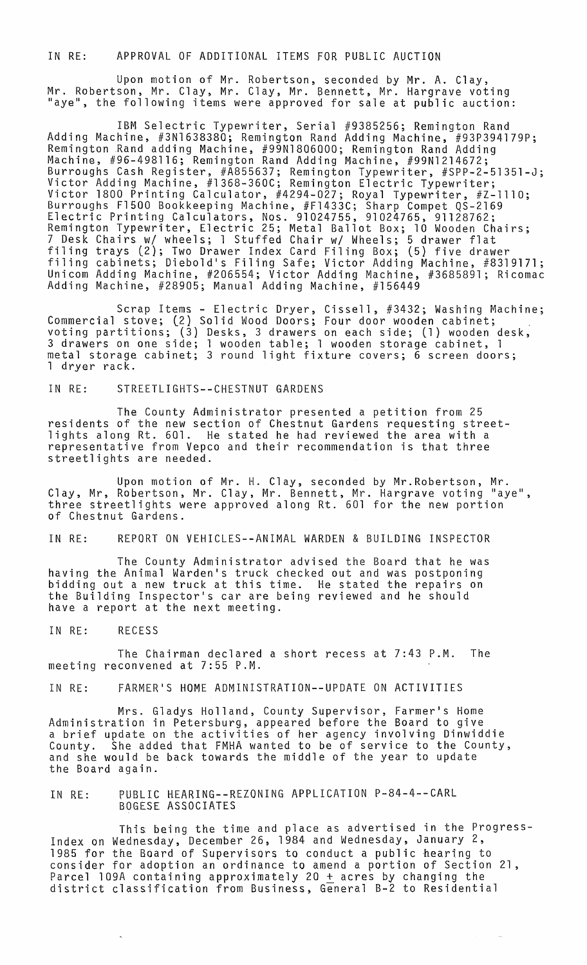IN RE: APPROVAL OF ADDITIONAL ITEMS FOR PUBLIC AUCTION

Upon motion of Mr. Robertson, seconded by Mr. A. Clay, Mr. Robertson, Mr. Clay, Mr. Clay, Mr. Bennett, Mr. Hargrave voting "aye", the following items were approved for sale at public auction:

IBM Selectric Typewriter, Serial #9385256; Remington Rand Adding Machine, #3N1638380; Remington Rand Adding Machine, #93P394179P; Remington Rand adding Machine, #99N1806000; Remington Rand Adding<br>Machine, #96-498116; Remington Rand Adding Machine, #99N1214672; Burroughs Cash Register, #A855637; Remington Typewriter, #SPP-2-51351-J; Victor Adding Machine, #1368-360C; Remington Electric Typewriter; Victor 1800 Printing Calculator, #4294-027; Royal Typewriter, #Z-lllO; Burroughs F1500 Bookkeeping Machine, #F1433C; Sharp Compet QS-2169 Electric Printing Calculators, Nos. 91024755, 91024765, 91128762; Remington Typewriter, Electric 25; Metal Ballot Box; 10 Wooden Chairs; 7 Desk Chairs *wi* wheels; 1 Stuffed Chair *wi* Wheels; 5 drawer flat filing trays (2); Two Drawer Index Card Filing Box; (5) five drawer filing cabinets; Diebold's Filing Safe; Victor Adding Machine, #8319171; Unicom Adding Machine, #206554; Victor Adding Machine, #3685891; Ricomac Adding Machine, #28905; Manual Adding Machine, #156449

Scrap Items - Electric Dryer, Cissell, #3432; Washing Machine; Commercial stove; (2) Solid Wood Doors; Four door wooden cabinet;<br>voting partitions; (3) Desks, 3 drawers on each side; (1) wooden desk, 3 drawers on one side; 1 wooden table; 1 wooden storage cabinet, 1 metal storage cabinet; 3 round light fixture *covers;* 6 screen doors; 1 dryer rack.

IN RE: STREETLIGHTS--CHESTNUT GARDENS

The County Administrator presented a petition from 25 residents of the new section of Chestnut Gardens requesting streetlights along Rt. 601. He stated he had reviewed the area with a representative from Vepco and their recommendation is that three streetlights are needed.

Upon motion of Mr. H. Clay, seconded by Mr.Robertson, Mr. Clay, Mr, Robertson, Mr. Clay, Mr. Bennett, Mr. Hargrave voting "aye", three streetlights were approved along Rt. 601 for the new portion<br>of Chestnut Gardens.

IN RE: REPORT ON VEHICLES--ANIMAL WARDEN & BUILDING INSPECTOR

The County Administrator advised the Board that he was having the Animal Warden's truck checked out and was postponing bidding out a new truck at this time. He stated the repairs on the Building Inspector's car are being reviewed and he should have a report at the next meeting.

IN RE: RECESS

The Chairman declared a short recess at 7:43 P.M. The meeting reconvened at 7:55 P.M.

IN RE: FARMER'S HOME ADMINISTRATION--UPDATE ON ACTIVITIES

Mrs. Gladys Holland, County Supervisor, Farmer's Home Administration in Petersburg, appeared before the Board to *give*  a brief update on the activities of her agency involving Dinwiddie County. She added that FMHA wanted to be of service to the County, and she would be back towards the middle of the year to update the Board again.

IN RE: PUBLIC HEARING--REZONING APPLICATION P-84-4--CARL BOGESE ASSOCIATES

This being the time and place as advertised in the Progress-Index on Wednesday, December 26, 1984 and Wednesday, January 2, 1985 for the Board of Supervisors to conduct a public hearing to consider for adoption an ordinance to amend a portion of Section 21, Parcel 109A containing approximately 20  $\pm$  acres by changing the district classification from Business, General B-2 to Residential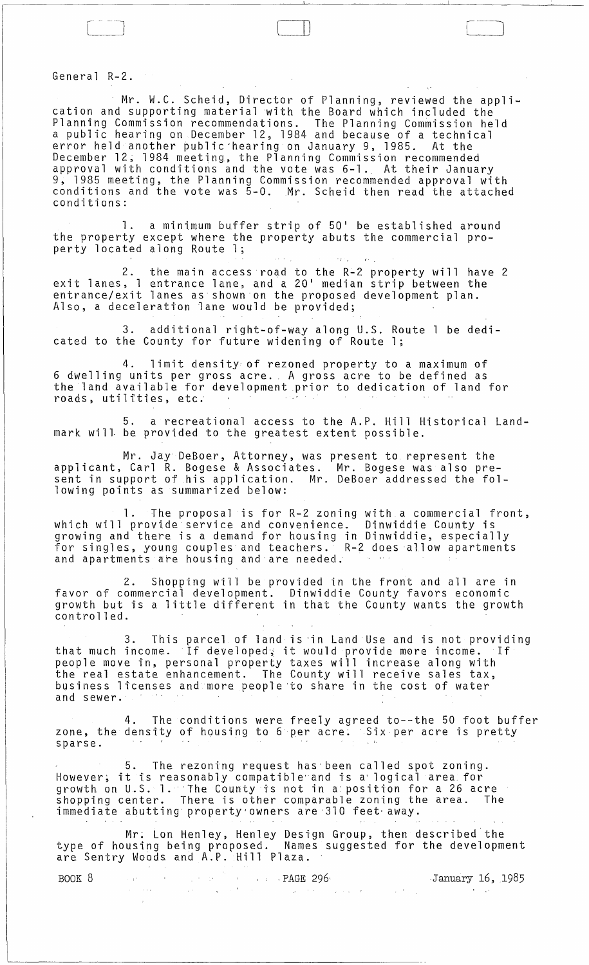General R-2.

Mr. W.C. Scheid, Director of Planning, reviewed the application and supporting material with the Board which included the Planning Commission recommendations. The Planning Commission held a public hearing an December 12, 1984 and because of a technical error held another public-hearing on January 9, 1985. At the December 12, 1984 meeting, the Planning Commission recommended approval with conditions and the vote was 6-1. At their January 9, 1985 meeting. the Planning Commission recommended approval with conditions and the vote was 5-0. Mr. Scheid then read the attached conditions:

 $1 -$ 

1. a minimum buffer strip of 50' be established around the property except where the property abuts the commercial property located along Route 1; The contract of the state of the state of the state of the state of the state of the state of the state of the state of the state of the state of the state of the state of the state of the stat

2. the main access road to the R-2 property will have 2 exit lanes, 1 entrance lane. and a 20' median strip between the entrance/exit lanes as shown on the proposed development plan. Also, a deceleration lane would be provided;

3. additional right-of-way along U.S. Route 1 be dedicated to the County for future widening of Route 1;

4. limit density of rezoned property to a maximum of 6 dwelling units per gross acre. A gross acre to be defined as the land available for development prior to dedication of land for roads, utilities, etc.

5. a recreational access to the A.P. Hill Historical Landmark will. be provided to the greatest extent possible.

Mr. Jay DeBoer, Attorney, was present to represent the applicant, Carl R. Bogese & Associates. Mr. Bogese was also present in support of his application. Mr. DeBoer addressed the following points as summarized below:

1. The proposal is for R-2 zoning with a commercial front, which will provide service and convenience. Dinwiddie County is growing and there is a demand for housing in Dinwiddie, especially for singles, young couples and teachers. R-2 does allow apartments and apartments are housing and are needed;

2. Shopping will be provided in the front and all are in favor of commercial development. Dinwiddie County favors economic ravor of commercial deveropment. Dinwidule county lavors economic<br>growth but is a little different in that the County wants the growth<br>controlled.

3. This parcel of land is 'in Land Use and is not providing that much income. If developed; it would provide more income. If people move in, personal property taxes will increase along with the real estate enhancement. The County will receive sales tax, business licenses and more people'to share in the cost of water and sewer.

4. The conditions were freely agreed to--the 50 foot buffer zone, the density of housing to 6 per acre. Six per acre is pretty sparse.

5. The rezoning request has' been called spot zoning. However; it i:s reasonably compatible'and is a'logical area for growth on U.S. 1.·The County is not in a position for a 26 acre shopping center. There is other comparable zoning the area. The immediate abutting property owners are 310 feet away.

Mr: Lan Henley, Henley Design Grpup, then described the type of housing being proposed. Names suggested for the development are Sentry Woods and A.P. Hill Plaza.

| BOOK 8 |  | <u>in the contract of the second part of the PAGE 296.</u> | January 16, 1985 |
|--------|--|------------------------------------------------------------|------------------|
|        |  |                                                            |                  |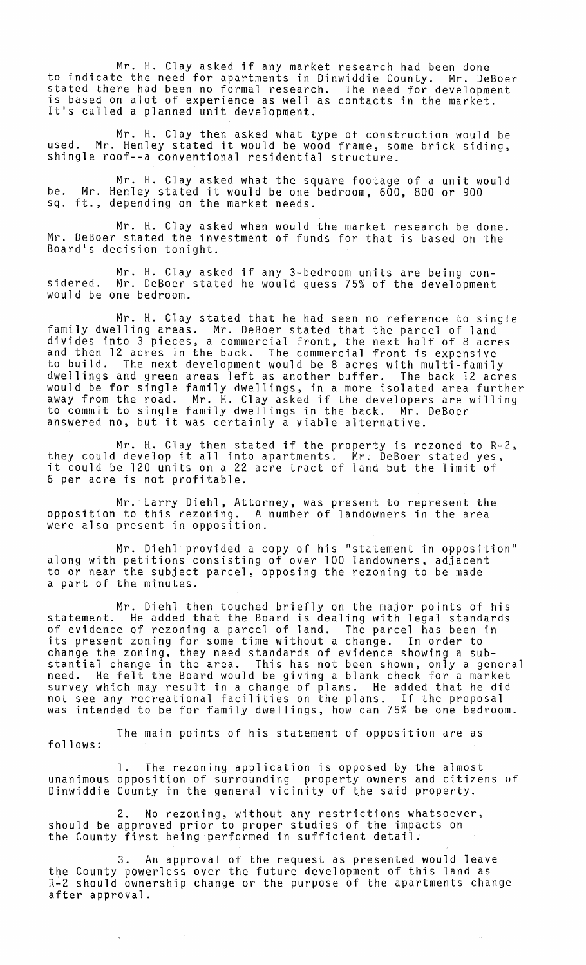Mr. H. Clay asked if any market research had been done to indicate the need for apartments in Dinwiddie County. Mr. DeBoer stated there had been no formal research. The need for development is based on alot of experience as well as contacts in the market. It's called a planned unit development.

Mr. H. Clay then asked what type of construction would be used. Mr. Henley stated it would be wood frame, some brick siding, shingle roof--a conventional residential structure.

Mr. H. Clay asked what the square footage of a unit would be. Mr. Henley stated it would be one bedroom, 600, 800 or 900 sq. ft., depending on the market needs.

Mr. H. Clay asked when would the market research be done. Mr. DeBoer stated the investment of funds for that is based on the Board's decision tonight.

Mr. H. Clay asked if any 3-bedroom units are being considered. Mr. DeBoer stated he would guess 75% of the development would be one bedroom.

Mr. H. Clay stated that he had seen no reference to single family dwelling areas. Mr. DeBoer stated that the parcel of land divides into 3 pieces, a commercial front, the next half of 8 acres and then 12 acres in the back. The commercial front is expensive to build. The next development would be 8 acres with multi-family dwellings and green areas left as another buffer. The back 12 acres would be for single-family dwellings, in a more isolated area further away from the road. Mr. H. Clay asked if the developers are willing to commit to single family dwellings in the back. Mr. DeBoer answered no, but it was certainly a viable alternative.

Mr. H. Clay then stated if the property is rezoned to R-2, they could develop it all into apartments. Mr. DeBoer stated yes, it could be 120 units on a 22 acre tract of land but the limit of 6 per acre is not profitable.

Mr. Larry Diehl, Attorney, was present to represent the opposition to this rezoning. A number of landowners in the area were also present in opposition.

Mr. Diehl provided a copy of his "statement in opposition" along with petitions consisting of over 100 landowners, adjacent to or near the subject parcel, opposing the rezoning to be made a part of the minutes.

Mr. Diehl then touched briefly on the major pOints of his statement. He added that the Board is dealing with legal standards of evidence of rezoning a parcel of land. The parcel has been in its present zoning for some time without a change. In order to change the zoning, they need standards of evidence showing a substantial change in the area. This has not been shown, only a general need. He felt the Board would be giving a blank check for a market survey which may result in a change of plans. He added that he did not see any recreational facilities on the plans. If the proposal was intended to be for family dwellings, how can 75% be one bedroom.

The main points of his statement of opposition are as follows:

1. The rezoning application is opposed by the almost unanimous opposition of surrounding property owners and citizens of Dinwiddie County in the general vicinity of ~he said property.

2. No rezoning, without any restrictions whatsoever, should be approved prior to proper studies of the impacts on the County first being performed in sufficient detail.

 $\bar{\mathbf{v}}$ 

3. An approval of the request as presented would leave the County powerless over the future development of this land as R-2 should ownership change or the purpose of the apartments change after approval.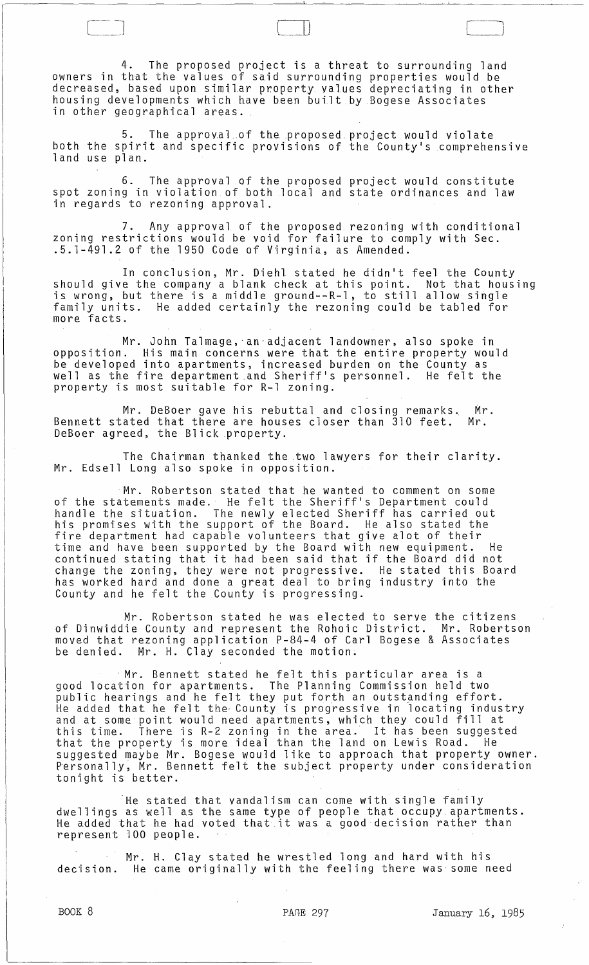4. The proposed project is a threat to surrounding land owners in that the values of said surrounding properties would be decreased, based upon similar property values depreciating in other housing developments which have been built by Bogese Associates in other geographical areas.

5. The approval of the proposed project would violate both the spirit and specific provisions of the County's comprehensive land use plan.

6. The approval of the proposed project would constitute spot zoning in violation of both local and state ordinances and law in regards to rezoning approval.

7. Any approval. of the proposed rezoning with conditional zoning restrictions would be void for failure to comply with Sec.<br>.5.1-491.2 of the 1950 Code of Virginia, as Amended.

In conclusion, Mr. Diehl. stated he didn't feel the County should give the company a blank check at this point. Not that housing is wrong, but there is a middle ground--R-l, to still allow single family units. He added certainly the rezoning could be tabled for more facts.

Mr. John Talmage,'an'adjacent landowner, also spoke in opposition. His main concerns were that the entire property would be developed into apartments, increased burden on the County as well as the fire department .and Sheriff's personnel. He felt the property is most suitable for R-l zoning.

Mr. DeBoer gave his rebuttal and closing remarks. Mr.<br>ated that there are houses closer than 310 feet. Mr. Bennett stated that there are houses closer than 310 feet. DeBoer agreed, the Blick property.

The Chairman thanked the two lawyers for their clarity. Mr. Edsell Long also spoke in opposition.

Mr. Robertson stated that he wanted to comment on some of the statements made. He felt the Sheriff's Department could handle the situation. The newly elected Sheriff has carried out his promises with the support of the Board. He also stated the fire department had capable volunteers that give alot of their time and have been supported by the Board with new equipment. He continued stating that it had been said that if the Board did not change the zoning, they were not progressive. He stated this Board has worked hard and done a great deal to bring industry into the County and he felt the County is progressing.

Mr. Robertson stated he was elected to serve the citizens of Dinwiddie County and represent the Rohoic District. Mr. Robertson of Dinwiddie County and represent the Rohoic District. Mr. Robertson<br>moved that rezoning application P-84-4 of Carl Bogese & Associates be denied. Mr. H. Clay seconded the motion .

. Mr. Bennett stated he felt this particular area is a good location for apartments. The Planning Commission held two public hearings and he felt they put forth an outstanding effort. He added that he felt the County is progressive in locating industry and at some point would need apartments, which they could fill at this time. There is R-2 zoning in the area. It has been suggested that the property is more ideal than the land on Lewis Road. He suggested maybe Mr. Bogese would like to approach that property owner. sayges cea maybe in: bogese would like to approach that property owner tonight is better.

He stated that vandalism can come with single family dwellings as well as the same type of people that occupy. apartments. He added that he had voted that it was a good decision rather than represent 100 people.

Mr. H. Clay stated he wrestled long and hard with his decision. He came originally with the feeling there was some need

[ J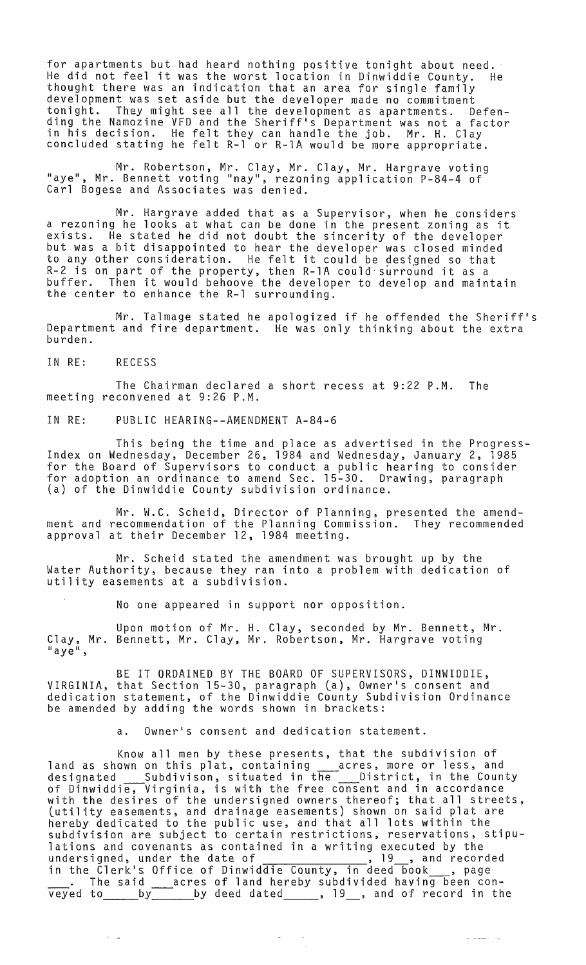for apartments but had heard nothing positive tonight about need. He did not feel it was the worst location in Dinwiddie County. He thought there was an indication that an area for single family development was set aside but the developer made no commitment tonight. They might see all the development as apartments. Defending the Namozine VFD and the Sheriff's Department was not a factor in his decision. He felt they can handle the job. Mr. H. Clay concluded stating he felt R-l or R-1A would be more appropriate.

Mr. Robertson, Mr. Clay, Mr. Clay, Mr. Hargrave voting "aye", Mr. Bennett voting "nay", rezoning application P-84-4 of Carl Bogese and Associates was denied.

Mr. Hargrave added that as a Supervisor, when he considers a rezoning he looks at what can be done in the present zoning as it exists. He stated he did not doubt the sincerity of the developer but was a bit disappointed to hear the developer was closed minded to any other consideration. He felt it could be designed so that R-2 is on part of the property, then R-1A could'surround it as a buffer. Then it would behoove the developer to develop and maintain the center to enhance the R-l surrounding.

Mr. Talmage stated he apologized if he offended the Sheriff's Department and fire department. He was only thinking about the extra burden.

IN RE: RECESS

 $\frac{1}{2}$ 

The Chairman declared a short recess at 9:22 P.M. The meeting reconvened at 9:26 P.M.

IN RE: PUBLIC HEARING--AMENDMENT A-84-6

This being the time and place as advertised in the Progress-Index on Wednesday, December 26, 1984 and Wednesday, January 2, 1985 for the Board of Supervisors to conduct a public hearing to consider for adoption an ordinance to amend Sec. 15-30. Drawing, paragraph (a) of the Dinwiddie County subdivision ordinance.

Mr. W.C. Scheid, Director of Planning, presented the amendment and recommendation of the Planning Commission. They recommended approval at their December 12, 1984 meeting.

Mr. Scheid stated the amendment was brought up by the Water Authority, because they ran into a problem with dedication of utility easements at a subdivision.

No one appeared in support nor opposition.

Upon motion of Mr. H. Clay, seconded by Mr. Bennett, Mr. Clay, Mr. Bennett, Mr. Clay, Mr. Robertson, Mr. Hargrave voting "aye",

BE IT ORDAINED BY THE BOARD OF SUPERVISORS, DINWIDDIE, VIRGINIA, that Section 15-30, paragraph La), Owner's consent and dedication statement, of the Dinwiddie County Subdivision Ordinance be amended by adding the words shown in brackets:

Owner's consent and dedication statement.

Know all men by these presents, that the subdivision of land as shown on this plat, containing acres, more or less, and designated \_\_\_\_Subdivison, situated in the \_\_\_\_District, in the County of Dinwiddie, Virginia, is with the free consent and in accordance with the desires of the undersigned owners thereof; that all streets, Lutility easements, and drainage easements) shown on said plat are hereby dedicated to the public use, and that all lots within the subdivision are subject to certain restrictions, reservations, stipulations and covenants as contained in a writing executed by the ractions and covenances as concarned in a witching executed by the<br>undersigned, under the date of \_\_\_\_\_\_\_\_\_\_\_\_\_\_\_, 19\_\_, and recorded in the Clerk's Office of Dinwiddie County, in deed book \_\_\_, page<br>\_\_\_\_. The said \_\_\_\_acres of land hereby subdivided having been conthe said sacres of land hereby subdivided having been con-<br>veyed to samply the by deed dated sampless, 19 , and of record in the

الهوادات والمستشمل المرا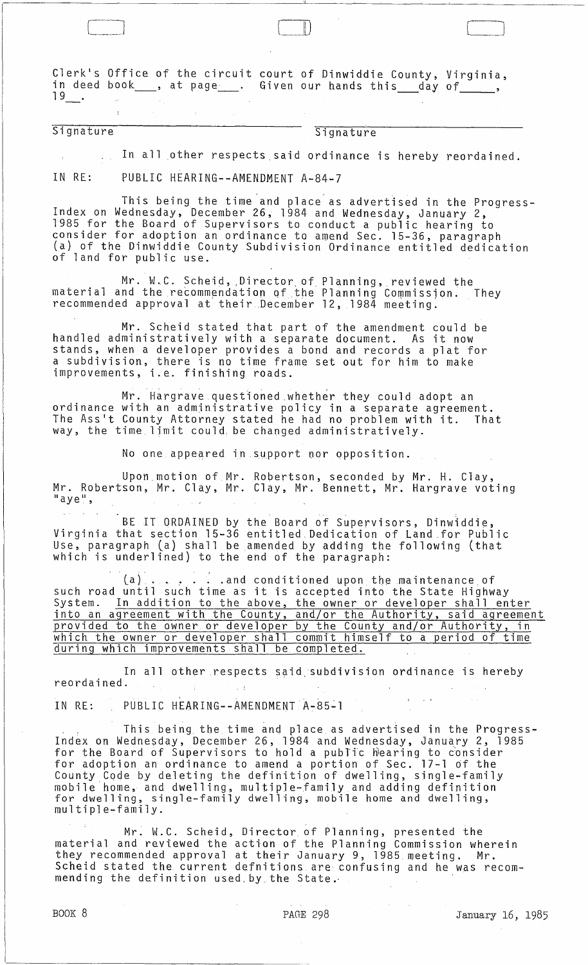Clerk's Office of the circuit court of Dinwiddie County, Virginia, in deed book  $\_\_$ , at page  $\_\_$ . Given our hands this  $\_\_$  day of  $\_\_$ 

# Signature Signature

In all other respects said ordinance is hereby reordained.

 $\Box$ 

IN RE: PUBLIC HEARING--AMENDMENT A-84-7

This being the time and place as advertised in the Progress- Index on Wednesday, December 26, 1984 and Wednesday, January 2, 1985 for the Board of Supervisors to conduct a public hearing to consider for adoption an ordinance to amend Sec. 15-36, paragraph (a) of the Dinwiddie County Subdivision Ordinance entitled dedication of land for public use.

Mr. W.C. Scheid, Director of Planning, reviewed the material and the recommendation of the Planning Commission. They recommended approval at their December 12, 1984 meeting.

Mr. Scheid stated that part of the amendment could be handled administratively with a separate document. As it now stands, when a developer provides a bond and records a plat for a subdivision, there is no time frame set out for him to make improvements, i.e. finishing roads.

Mr. Hargrave questioned whether they could adopt an ordinance with an admjnistrative policy in a separate agreement. The Ass1t County Attorney stated he had no problem with it. That way, the time limit could, be changed administratively.

No one appeared in support nor opposition.

Upon,motion of Mr. Robertson, seconded by Mr. H. Clay, Mr. Robertson, Mr. Clay, Mr. Clay, Mr. Bennett, Mr. Hargrave voting<br>"aye",

BE IT ORDAINED by the Board of Supervisors, Dinwiddie, Virginia that section 15-36 entitled Dedication of Land for Public Use, paragraph (a) shall be amended by adding the following (that which is underlined) to the end of the paragraph:

 $(a)$  . . . . . and conditioned upon the maintenance of such road until such time as it is accepted into the State Highway System. In addition to the above, the owner or developer shall enter into an agreement with the County, and/or the Authority, said agreement provided to the owner or developer by the County and/or Authority, in which the owner or developer shall commit himself to a period of time during which improvements shall be completed.

In all other respects said, subdivision ordinance is hereby reordained. ,

IN RE: PUBLIC HEARING--AMENDMENTA-85~1

This being the time anq place as advertised in the Progress-Index on Wednesday, December 26, 1984 and Wednesday, January 2, 1985 for the Board of Supervisors to hold a public hearing to consider for adoption an ordinance to amend a portion of Sec. 17-1 of the County Code by deleting the definition of dwelling, single-family mobile'home, and dwelling, multiple-family and adding definition for dwelling, single-family dwelling, mobile home and dwelling, multiple-family.

Mr. W.C. Scheid, Director of Planning, presented the material and reviewed the action of the Planning Commission wherein they recommended approval at their January 9, 1985 meeting. Mr. Scheid stated the current defnitions are confusing and he was recommending the definition used by the State.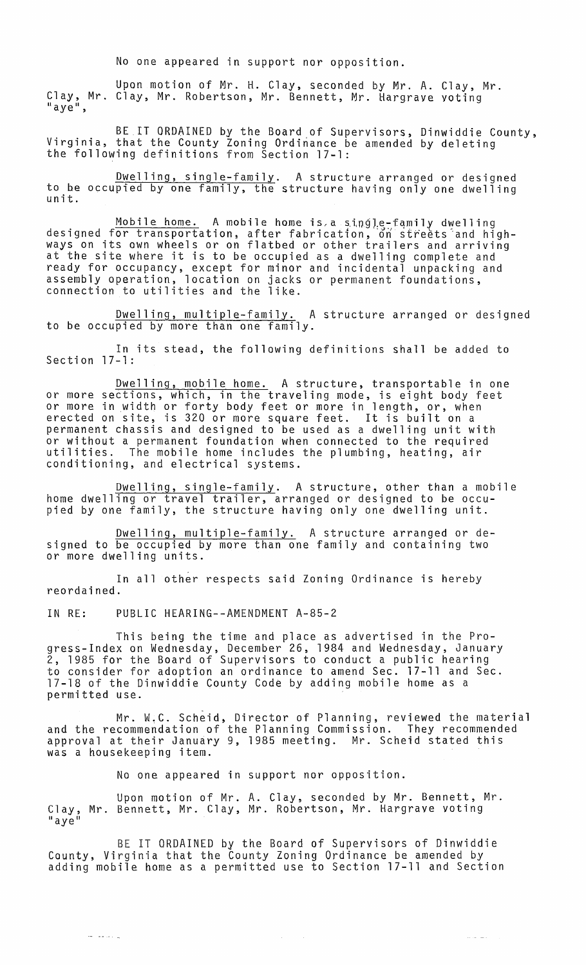No one appeared in support nor opposition.

Upon motion of Mr. H. Clay, seconded by Mr. A. Clay, Mr. Clay, Mr. Clay, Mr. Robertson, Mr. Bennett, Mr. Hargrave voting "aye",

BE IT ORDAINED by the Board of Supervisors, Dinwiddie County,<br>Virginia, that the County Zoning Ordinance be amended by deleting the following definitions from Section 17-1:

Dwelling, single-family. A structure arranged or designed to be occupied by one family, the structure having only one dwelling<br>unit.

Mobile home. A mobile home is a single-family dwelling designed for transportation, after fabrication, on streets and highways on its own wheels or on flatbed or other trailers and arriving at the site where it is to be occupied as a dwelling complete and ready for occupancy, except for minor and incidental unpacking and assembly operation, location on jacks or permanent foundations, connection to utilities and the like.

Dwelling, multiple-family. A structure arranged or designed to be occupied by more than one family.

In its stead, the following definitions shall be added to Section 17-1:

Dwelling, mobile home. A structure, transportable in one or more sections, which, in the traveling mode, is eight body feet or more in width or forty body feet or more in length, or, when erected on site, is 320 or more square feet. It is built on a permanent chassis and designed to be used as a dwelling unit with or without a permanent foundation when connected to the required utilities. The mobile home includes the plumbing, heating, air conditioning, and electrical systems.

Dwelling, single-family. A structure, other than a mobile home dwelling or travel trailer, arranged or designed to be occupied by one family, the structure having only one dwelling unit.

Dwelling, multiple-family. A structure arranged or designed to be occupied by more than one family and containing two or more dwelling units.

In all other respects said Zoning Ordinance is hereby reordained.

IN RE: PUBLIC HEARING--AMENDMENT A-85-2

ل المتعدد عبد

This being the time and place as advertised in the Progress-Index on Wednesday, December 26, 1984 and Wednesday, January 2, 1985 for the Board of Supervisors to conduct a public hearing to consider for adoption an ordinance to amend Sec. 17-11 and Sec. 17-18 of the Dinwiddie County Code by adding mobile home as a permitted use.

Mr. W.C. Scheid, Director of Planning, reviewed the material and the recommendation of the Planning Commission. They recommended approval at their January 9, 1985 meeting. Mr. Scheid stated this was a housekeeping item.

No one appeared in support nor opposition.

Upon motion of Mr. A. Clay, seconded by Mr. Bennett, Mr. Clay, Mr. Bennett, Mr. Clay, Mr. Robertson, Mr. Hargrave voting<br>"aye"

BE IT ORDAINED by the Board of Supervisors of Dinwiddie County, Virginia that the County Zoning Ordinance be amended by adding mobile home as a permitted use to Section 17-11 and Section

 $\mathcal{A}(\mathcal{A})$  and  $\mathcal{A}(\mathcal{A})$ 

 $\langle \ldots \rangle_{\sigma} = 1$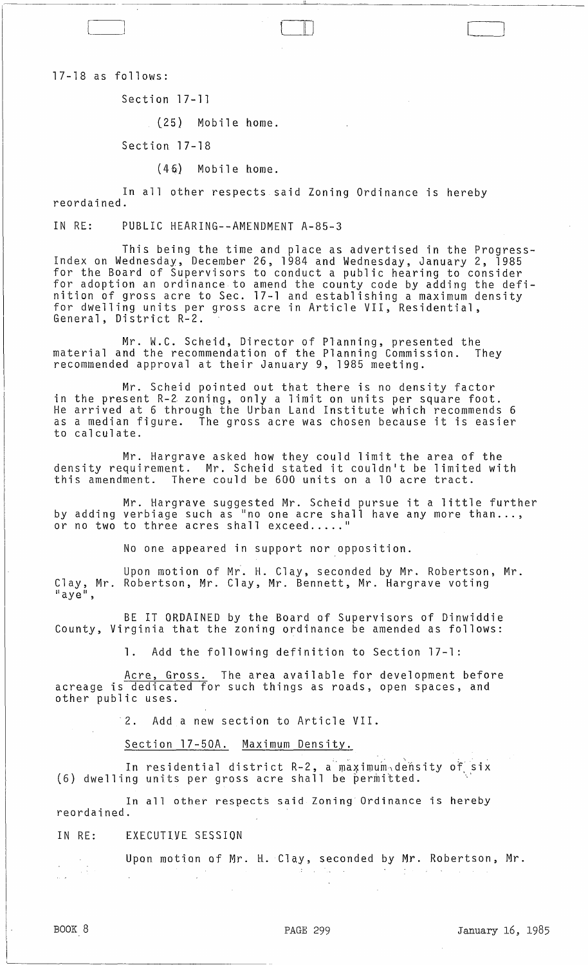17-18 as follows:

Section 17-11

(25) Mobile home.

Section 17-18

(46) Mobile home.

In all other respects said Zoning Ordinance is hereby reordained.

IN RE: PUBLIC HEARING--AMENDMENT A-85-3

This being the time and place as advertised in the Progress-Index on Wednesday, December 26, 1984 and Wednesday, January 2, 1985 for the Board of Supervisors to conduct a public hearing to consider for adoption an ordinance to amend the county code by adding the definition of gross acre to Sec. 17-1 and establishing a maximum density for dwelling units per gross acre in Article VII, Residential, General, District R-2.

 $\Box$ 

Mr. W.C. Scheid, Director of Planning, presented the material and the recommendation of the Planning Commission. They recommended approval at their January 9, 1985 meeting.

Mr. Scheid pointed out that there is no density factor in the present R-Z zoning, only a limit on units per square foot. He arrived at 6 through the Urban Land Institute which recommends 6 as a median figure. The gross acre was chosen because it is easier to calculate.

Mr. Hargrave asked how they could limit the area of the density requirement. Mr. Scheid stated it couldn't be limited with this amendment. There could be 600 units on a 10 acre tract.

Mr. Hargrave suggested Mr. Scheid pursue it a little further by adding verbiage such as "no one acre shall have any more than...,<br>by adding verbiage such as "no one acre shall have any more than...,<br>or no two to three acres shall exceed....."

No one appeared in support nor opposition.

Upon motion of Mr. H. Clay, seconded by Mr. Robertson, Mr. Clay, Mr. Robertson, Mr. Clay, Mr. Bennett, Mr. Hargrave voting<br>"aye",

BE IT ORDAINED by the Board of Supervisors of Dinwiddie County, Virginia that the zoning ordinance be amended as follows:

1. Add the following definition to Section 17-1:

Acre, Gross. The area available for development before acreage is dedicated for such things as roads, open spaces, and other public uses.

2. Add a new section to Article VII.

Section 17-50A. Maximum Density.

In residential district R-2, a maximum density of six  $(6)$  dwelling units per gross acre shall be permitted.

In all other respects said Zoning Ordinance is hereby reordained.

IN RE: EXECUTIVE SESSION

Upon motion of Mr. H. Clay, seconded by Mr. Robertson, Mr.  $\sim$  1

 $\bigcup$